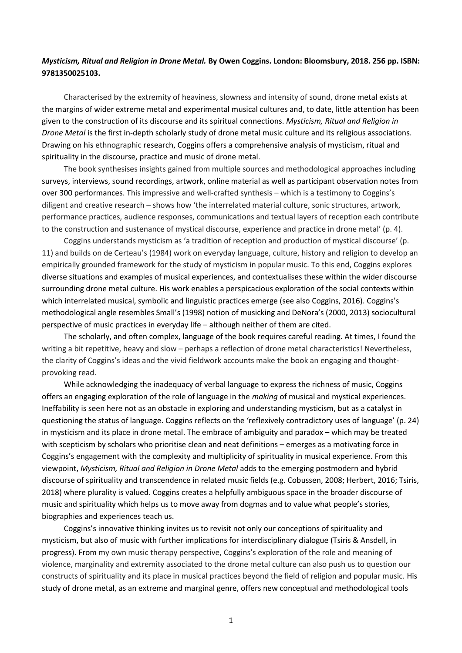## *Mysticism, Ritual and Religion in Drone Metal.* **By Owen Coggins. London: Bloomsbury, 2018. 256 pp. ISBN: 9781350025103.**

Characterised by the extremity of heaviness, slowness and intensity of sound, drone metal exists at the margins of wider extreme metal and experimental musical cultures and, to date, little attention has been given to the construction of its discourse and its spiritual connections. *Mysticism, Ritual and Religion in Drone Metal* is the first in-depth scholarly study of drone metal music culture and its religious associations. Drawing on his ethnographic research, Coggins offers a comprehensive analysis of mysticism, ritual and spirituality in the discourse, practice and music of drone metal.

The book synthesises insights gained from multiple sources and methodological approaches including surveys, interviews, sound recordings, artwork, online material as well as participant observation notes from over 300 performances. This impressive and well-crafted synthesis – which is a testimony to Coggins's diligent and creative research – shows how 'the interrelated material culture, sonic structures, artwork, performance practices, audience responses, communications and textual layers of reception each contribute to the construction and sustenance of mystical discourse, experience and practice in drone metal' (p. 4).

Coggins understands mysticism as 'a tradition of reception and production of mystical discourse' (p. 11) and builds on de Certeau's (1984) work on everyday language, culture, history and religion to develop an empirically grounded framework for the study of mysticism in popular music. To this end, Coggins explores diverse situations and examples of musical experiences, and contextualises these within the wider discourse surrounding drone metal culture. His work enables a perspicacious exploration of the social contexts within which interrelated musical, symbolic and linguistic practices emerge (see also Coggins, 2016). Coggins's methodological angle resembles Small's (1998) notion of musicking and DeNora's (2000, 2013) sociocultural perspective of music practices in everyday life – although neither of them are cited.

The scholarly, and often complex, language of the book requires careful reading. At times, I found the writing a bit repetitive, heavy and slow – perhaps a reflection of drone metal characteristics! Nevertheless, the clarity of Coggins's ideas and the vivid fieldwork accounts make the book an engaging and thoughtprovoking read.

While acknowledging the inadequacy of verbal language to express the richness of music, Coggins offers an engaging exploration of the role of language in the *making* of musical and mystical experiences. Ineffability is seen here not as an obstacle in exploring and understanding mysticism, but as a catalyst in questioning the status of language. Coggins reflects on the 'reflexively contradictory uses of language' (p. 24) in mysticism and its place in drone metal. The embrace of ambiguity and paradox – which may be treated with scepticism by scholars who prioritise clean and neat definitions – emerges as a motivating force in Coggins's engagement with the complexity and multiplicity of spirituality in musical experience. From this viewpoint, *Mysticism, Ritual and Religion in Drone Metal* adds to the emerging postmodern and hybrid discourse of spirituality and transcendence in related music fields (e.g. Cobussen, 2008; Herbert, 2016; Tsiris, 2018) where plurality is valued. Coggins creates a helpfully ambiguous space in the broader discourse of music and spirituality which helps us to move away from dogmas and to value what people's stories, biographies and experiences teach us.

Coggins's innovative thinking invites us to revisit not only our conceptions of spirituality and mysticism, but also of music with further implications for interdisciplinary dialogue (Tsiris & Ansdell, in progress). From my own music therapy perspective, Coggins's exploration of the role and meaning of violence, marginality and extremity associated to the drone metal culture can also push us to question our constructs of spirituality and its place in musical practices beyond the field of religion and popular music. His study of drone metal, as an extreme and marginal genre, offers new conceptual and methodological tools

1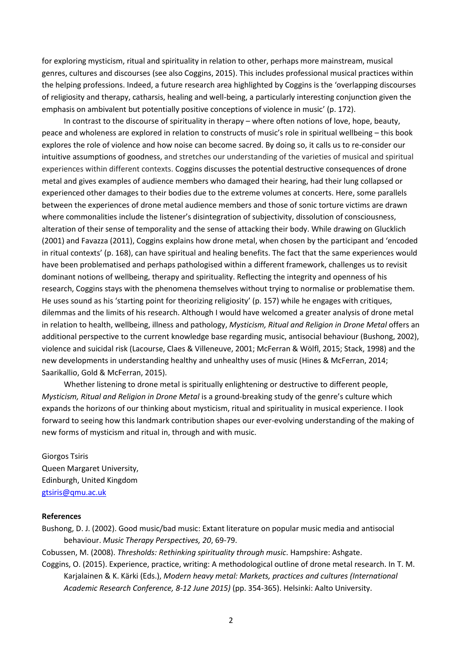for exploring mysticism, ritual and spirituality in relation to other, perhaps more mainstream, musical genres, cultures and discourses (see also Coggins, 2015). This includes professional musical practices within the helping professions. Indeed, a future research area highlighted by Coggins is the 'overlapping discourses of religiosity and therapy, catharsis, healing and well-being, a particularly interesting conjunction given the emphasis on ambivalent but potentially positive conceptions of violence in music' (p. 172).

In contrast to the discourse of spirituality in therapy – where often notions of love, hope, beauty, peace and wholeness are explored in relation to constructs of music's role in spiritual wellbeing – this book explores the role of violence and how noise can become sacred. By doing so, it calls us to re-consider our intuitive assumptions of goodness, and stretches our understanding of the varieties of musical and spiritual experiences within different contexts. Coggins discusses the potential destructive consequences of drone metal and gives examples of audience members who damaged their hearing, had their lung collapsed or experienced other damages to their bodies due to the extreme volumes at concerts. Here, some parallels between the experiences of drone metal audience members and those of sonic torture victims are drawn where commonalities include the listener's disintegration of subjectivity, dissolution of consciousness, alteration of their sense of temporality and the sense of attacking their body. While drawing on Glucklich (2001) and Favazza (2011), Coggins explains how drone metal, when chosen by the participant and 'encoded in ritual contexts' (p. 168), can have spiritual and healing benefits. The fact that the same experiences would have been problematised and perhaps pathologised within a different framework, challenges us to revisit dominant notions of wellbeing, therapy and spirituality. Reflecting the integrity and openness of his research, Coggins stays with the phenomena themselves without trying to normalise or problematise them. He uses sound as his 'starting point for theorizing religiosity' (p. 157) while he engages with critiques, dilemmas and the limits of his research. Although I would have welcomed a greater analysis of drone metal in relation to health, wellbeing, illness and pathology, *Mysticism, Ritual and Religion in Drone Metal* offers an additional perspective to the current knowledge base regarding music, antisocial behaviour (Bushong, 2002), violence and suicidal risk (Lacourse, Claes & Villeneuve, 2001; McFerran & Wölfl, 2015; Stack, 1998) and the new developments in understanding healthy and unhealthy uses of music (Hines & McFerran, 2014; Saarikallio, Gold & McFerran, 2015).

Whether listening to drone metal is spiritually enlightening or destructive to different people, *Mysticism, Ritual and Religion in Drone Metal* is a ground-breaking study of the genre's culture which expands the horizons of our thinking about mysticism, ritual and spirituality in musical experience. I look forward to seeing how this landmark contribution shapes our ever-evolving understanding of the making of new forms of mysticism and ritual in, through and with music.

Giorgos Tsiris Queen Margaret University, Edinburgh, United Kingdom [gtsiris@qmu.ac.uk](mailto:gtsiris@qmu.ac.uk)

## **References**

Bushong, D. J. (2002). Good music/bad music: Extant literature on popular music media and antisocial behaviour. *Music Therapy Perspectives, 20*, 69-79.

Cobussen, M. (2008). *Thresholds: Rethinking spirituality through music*. Hampshire: Ashgate.

Coggins, O. (2015). Experience, practice, writing: A methodological outline of drone metal research. In T. M. Karjalainen & K. Kärki (Eds.), *Modern heavy metal: Markets, practices and cultures (International Academic Research Conference, 8-12 June 2015)* (pp. 354-365). Helsinki: Aalto University.